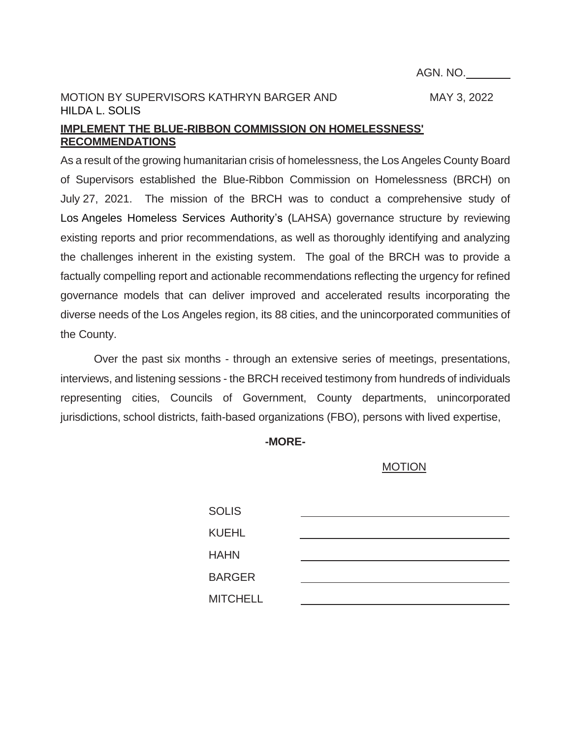AGN. NO.

## MOTION BY SUPERVISORS KATHRYN BARGER AND MAY 3, 2022 HILDA L. SOLIS

### **IMPLEMENT THE BLUE-RIBBON COMMISSION ON HOMELESSNESS' RECOMMENDATIONS**

As a result of the growing humanitarian crisis of homelessness, the Los Angeles County Board of Supervisors established the Blue-Ribbon Commission on Homelessness (BRCH) on July 27, 2021. The mission of the BRCH was to conduct a comprehensive study of Los Angeles Homeless Services Authority's (LAHSA) governance structure by reviewing existing reports and prior recommendations, as well as thoroughly identifying and analyzing the challenges inherent in the existing system. The goal of the BRCH was to provide a factually compelling report and actionable recommendations reflecting the urgency for refined governance models that can deliver improved and accelerated results incorporating the diverse needs of the Los Angeles region, its 88 cities, and the unincorporated communities of the County.

Over the past six months - through an extensive series of meetings, presentations, interviews, and listening sessions - the BRCH received testimony from hundreds of individuals representing cities, Councils of Government, County departments, unincorporated jurisdictions, school districts, faith-based organizations (FBO), persons with lived expertise,

**-MORE-**

#### MOTION

| <b>SOLIS</b>    |  |
|-----------------|--|
| <b>KUEHL</b>    |  |
| <b>HAHN</b>     |  |
| <b>BARGER</b>   |  |
| <b>MITCHELL</b> |  |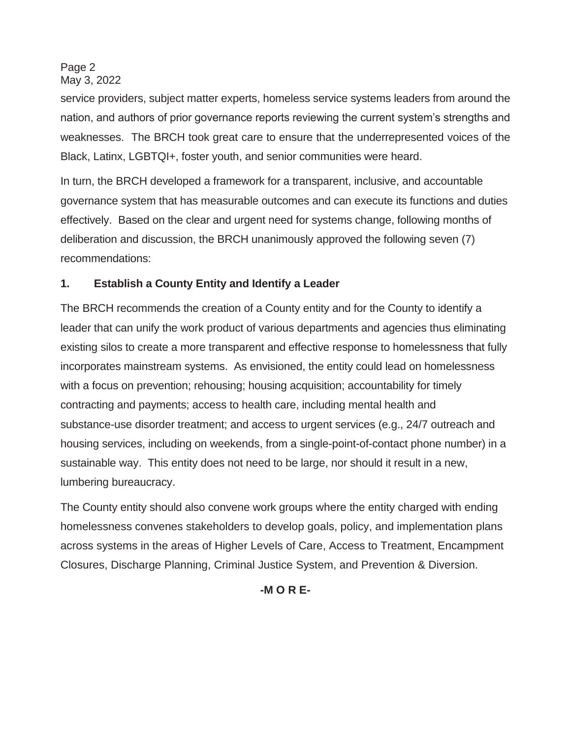Page 2 May 3, 2022

service providers, subject matter experts, homeless service systems leaders from around the nation, and authors of prior governance reports reviewing the current system's strengths and weaknesses. The BRCH took great care to ensure that the underrepresented voices of the Black, Latinx, LGBTQI+, foster youth, and senior communities were heard.

In turn, the BRCH developed a framework for a transparent, inclusive, and accountable governance system that has measurable outcomes and can execute its functions and duties effectively. Based on the clear and urgent need for systems change, following months of deliberation and discussion, the BRCH unanimously approved the following seven (7) recommendations:

## **1. Establish a County Entity and Identify a Leader**

The BRCH recommends the creation of a County entity and for the County to identify a leader that can unify the work product of various departments and agencies thus eliminating existing silos to create a more transparent and effective response to homelessness that fully incorporates mainstream systems. As envisioned, the entity could lead on homelessness with a focus on prevention; rehousing; housing acquisition; accountability for timely contracting and payments; access to health care, including mental health and substance-use disorder treatment; and access to urgent services (e.g., 24/7 outreach and housing services, including on weekends, from a single-point-of-contact phone number) in a sustainable way. This entity does not need to be large, nor should it result in a new, lumbering bureaucracy.

The County entity should also convene work groups where the entity charged with ending homelessness convenes stakeholders to develop goals, policy, and implementation plans across systems in the areas of Higher Levels of Care, Access to Treatment, Encampment Closures, Discharge Planning, Criminal Justice System, and Prevention & Diversion.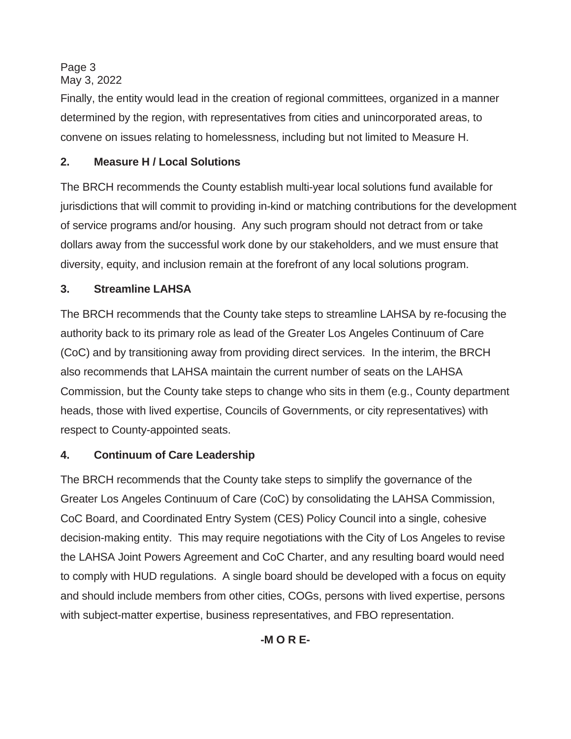Page 3 May 3, 2022

Finally, the entity would lead in the creation of regional committees, organized in a manner determined by the region, with representatives from cities and unincorporated areas, to convene on issues relating to homelessness, including but not limited to Measure H.

## **2. Measure H / Local Solutions**

The BRCH recommends the County establish multi-year local solutions fund available for jurisdictions that will commit to providing in-kind or matching contributions for the development of service programs and/or housing. Any such program should not detract from or take dollars away from the successful work done by our stakeholders, and we must ensure that diversity, equity, and inclusion remain at the forefront of any local solutions program.

## **3. Streamline LAHSA**

The BRCH recommends that the County take steps to streamline LAHSA by re-focusing the authority back to its primary role as lead of the Greater Los Angeles Continuum of Care (CoC) and by transitioning away from providing direct services. In the interim, the BRCH also recommends that LAHSA maintain the current number of seats on the LAHSA Commission, but the County take steps to change who sits in them (e.g., County department heads, those with lived expertise, Councils of Governments, or city representatives) with respect to County-appointed seats.

### **4. Continuum of Care Leadership**

The BRCH recommends that the County take steps to simplify the governance of the Greater Los Angeles Continuum of Care (CoC) by consolidating the LAHSA Commission, CoC Board, and Coordinated Entry System (CES) Policy Council into a single, cohesive decision-making entity. This may require negotiations with the City of Los Angeles to revise the LAHSA Joint Powers Agreement and CoC Charter, and any resulting board would need to comply with HUD regulations. A single board should be developed with a focus on equity and should include members from other cities, COGs, persons with lived expertise, persons with subject-matter expertise, business representatives, and FBO representation.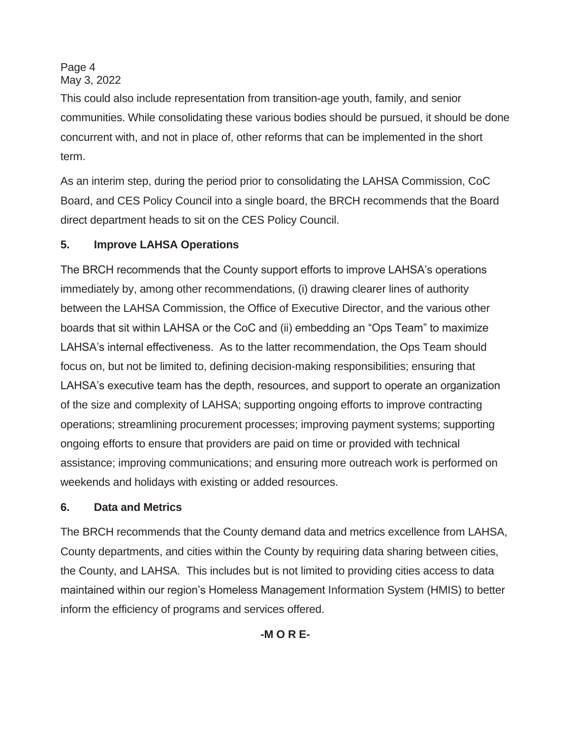Page 4 May 3, 2022

This could also include representation from transition-age youth, family, and senior communities. While consolidating these various bodies should be pursued, it should be done concurrent with, and not in place of, other reforms that can be implemented in the short term.

As an interim step, during the period prior to consolidating the LAHSA Commission, CoC Board, and CES Policy Council into a single board, the BRCH recommends that the Board direct department heads to sit on the CES Policy Council.

## **5. Improve LAHSA Operations**

The BRCH recommends that the County support efforts to improve LAHSA's operations immediately by, among other recommendations, (i) drawing clearer lines of authority between the LAHSA Commission, the Office of Executive Director, and the various other boards that sit within LAHSA or the CoC and (ii) embedding an "Ops Team" to maximize LAHSA's internal effectiveness. As to the latter recommendation, the Ops Team should focus on, but not be limited to, defining decision-making responsibilities; ensuring that LAHSA's executive team has the depth, resources, and support to operate an organization of the size and complexity of LAHSA; supporting ongoing efforts to improve contracting operations; streamlining procurement processes; improving payment systems; supporting ongoing efforts to ensure that providers are paid on time or provided with technical assistance; improving communications; and ensuring more outreach work is performed on weekends and holidays with existing or added resources.

## **6. Data and Metrics**

The BRCH recommends that the County demand data and metrics excellence from LAHSA, County departments, and cities within the County by requiring data sharing between cities, the County, and LAHSA. This includes but is not limited to providing cities access to data maintained within our region's Homeless Management Information System (HMIS) to better inform the efficiency of programs and services offered.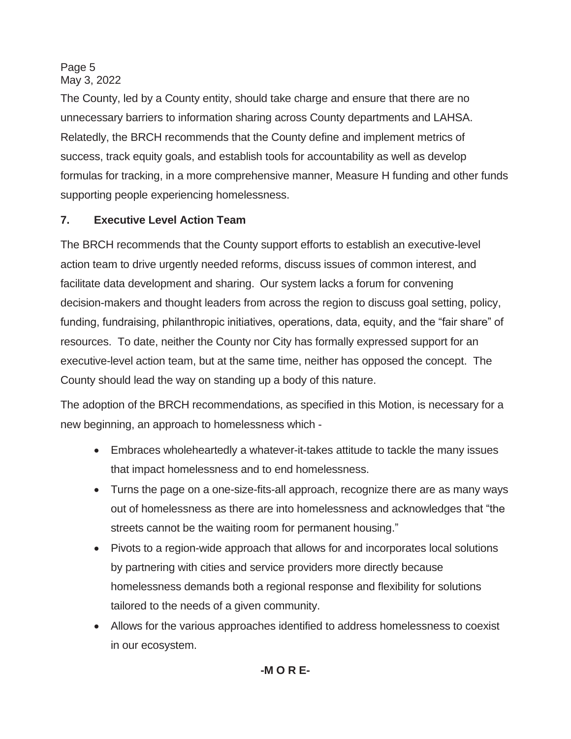Page 5 May 3, 2022

The County, led by a County entity, should take charge and ensure that there are no unnecessary barriers to information sharing across County departments and LAHSA. Relatedly, the BRCH recommends that the County define and implement metrics of success, track equity goals, and establish tools for accountability as well as develop formulas for tracking, in a more comprehensive manner, Measure H funding and other funds supporting people experiencing homelessness.

# **7. Executive Level Action Team**

The BRCH recommends that the County support efforts to establish an executive-level action team to drive urgently needed reforms, discuss issues of common interest, and facilitate data development and sharing. Our system lacks a forum for convening decision-makers and thought leaders from across the region to discuss goal setting, policy, funding, fundraising, philanthropic initiatives, operations, data, equity, and the "fair share" of resources. To date, neither the County nor City has formally expressed support for an executive-level action team, but at the same time, neither has opposed the concept. The County should lead the way on standing up a body of this nature.

The adoption of the BRCH recommendations, as specified in this Motion, is necessary for a new beginning, an approach to homelessness which -

- Embraces wholeheartedly a whatever-it-takes attitude to tackle the many issues that impact homelessness and to end homelessness.
- Turns the page on a one-size-fits-all approach, recognize there are as many ways out of homelessness as there are into homelessness and acknowledges that "the streets cannot be the waiting room for permanent housing."
- Pivots to a region-wide approach that allows for and incorporates local solutions by partnering with cities and service providers more directly because homelessness demands both a regional response and flexibility for solutions tailored to the needs of a given community.
- Allows for the various approaches identified to address homelessness to coexist in our ecosystem.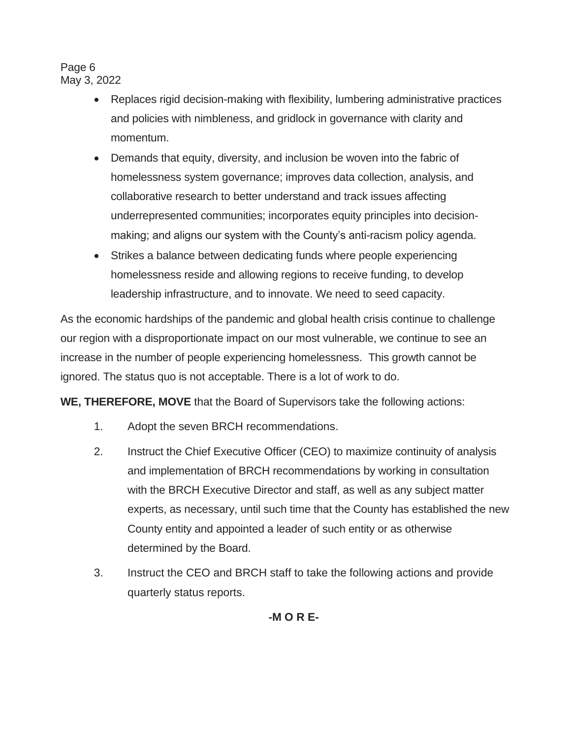Page 6 May 3, 2022

- Replaces rigid decision-making with flexibility, lumbering administrative practices and policies with nimbleness, and gridlock in governance with clarity and momentum.
- Demands that equity, diversity, and inclusion be woven into the fabric of homelessness system governance; improves data collection, analysis, and collaborative research to better understand and track issues affecting underrepresented communities; incorporates equity principles into decisionmaking; and aligns our system with the County's anti-racism policy agenda.
- Strikes a balance between dedicating funds where people experiencing homelessness reside and allowing regions to receive funding, to develop leadership infrastructure, and to innovate. We need to seed capacity.

As the economic hardships of the pandemic and global health crisis continue to challenge our region with a disproportionate impact on our most vulnerable, we continue to see an increase in the number of people experiencing homelessness. This growth cannot be ignored. The status quo is not acceptable. There is a lot of work to do.

**WE, THEREFORE, MOVE** that the Board of Supervisors take the following actions:

- 1. Adopt the seven BRCH recommendations.
- 2. Instruct the Chief Executive Officer (CEO) to maximize continuity of analysis and implementation of BRCH recommendations by working in consultation with the BRCH Executive Director and staff, as well as any subject matter experts, as necessary, until such time that the County has established the new County entity and appointed a leader of such entity or as otherwise determined by the Board.
- 3. Instruct the CEO and BRCH staff to take the following actions and provide quarterly status reports.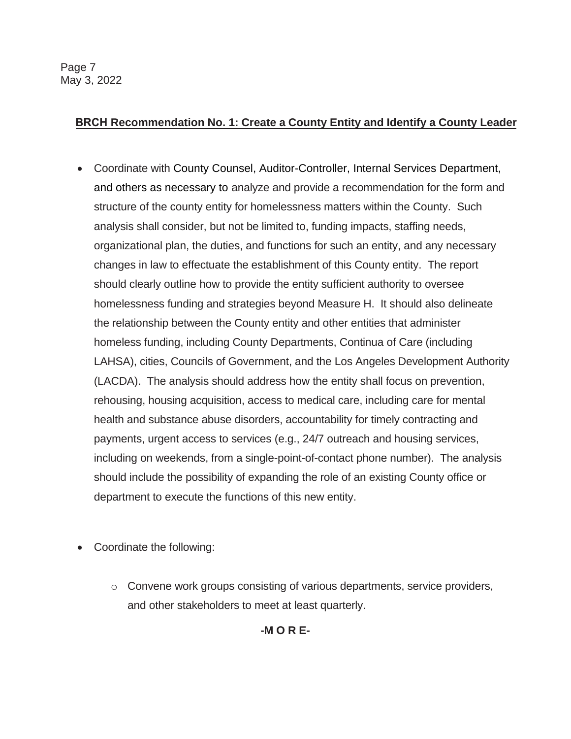## **BRCH Recommendation No. 1: Create a County Entity and Identify a County Leader**

- Coordinate with County Counsel, Auditor-Controller, Internal Services Department, and others as necessary to analyze and provide a recommendation for the form and structure of the county entity for homelessness matters within the County. Such analysis shall consider, but not be limited to, funding impacts, staffing needs, organizational plan, the duties, and functions for such an entity, and any necessary changes in law to effectuate the establishment of this County entity. The report should clearly outline how to provide the entity sufficient authority to oversee homelessness funding and strategies beyond Measure H. It should also delineate the relationship between the County entity and other entities that administer homeless funding, including County Departments, Continua of Care (including LAHSA), cities, Councils of Government, and the Los Angeles Development Authority (LACDA). The analysis should address how the entity shall focus on prevention, rehousing, housing acquisition, access to medical care, including care for mental health and substance abuse disorders, accountability for timely contracting and payments, urgent access to services (e.g., 24/7 outreach and housing services, including on weekends, from a single-point-of-contact phone number). The analysis should include the possibility of expanding the role of an existing County office or department to execute the functions of this new entity.
- Coordinate the following:
	- $\circ$  Convene work groups consisting of various departments, service providers, and other stakeholders to meet at least quarterly.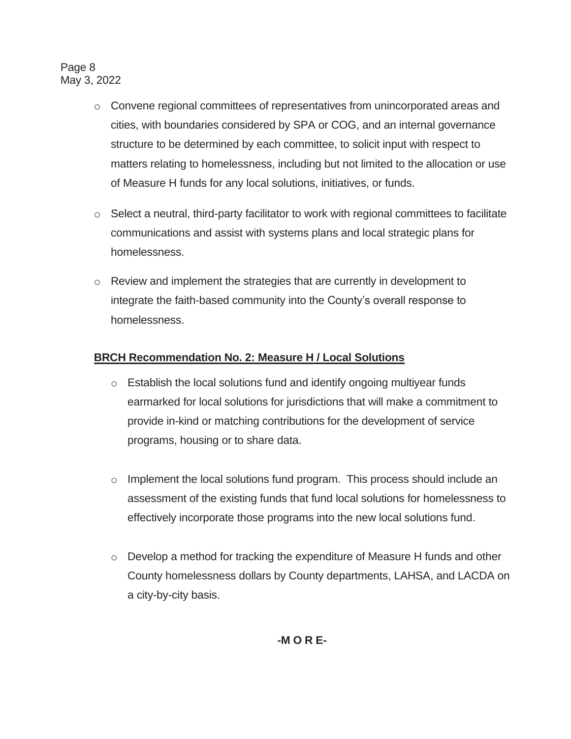Page 8 May 3, 2022

- $\circ$  Convene regional committees of representatives from unincorporated areas and cities, with boundaries considered by SPA or COG, and an internal governance structure to be determined by each committee, to solicit input with respect to matters relating to homelessness, including but not limited to the allocation or use of Measure H funds for any local solutions, initiatives, or funds.
- $\circ$  Select a neutral, third-party facilitator to work with regional committees to facilitate communications and assist with systems plans and local strategic plans for homelessness.
- $\circ$  Review and implement the strategies that are currently in development to integrate the faith-based community into the County's overall response to homelessness.

## **BRCH Recommendation No. 2: Measure H / Local Solutions**

- o Establish the local solutions fund and identify ongoing multiyear funds earmarked for local solutions for jurisdictions that will make a commitment to provide in-kind or matching contributions for the development of service programs, housing or to share data.
- o Implement the local solutions fund program. This process should include an assessment of the existing funds that fund local solutions for homelessness to effectively incorporate those programs into the new local solutions fund.
- $\circ$  Develop a method for tracking the expenditure of Measure H funds and other County homelessness dollars by County departments, LAHSA, and LACDA on a city-by-city basis.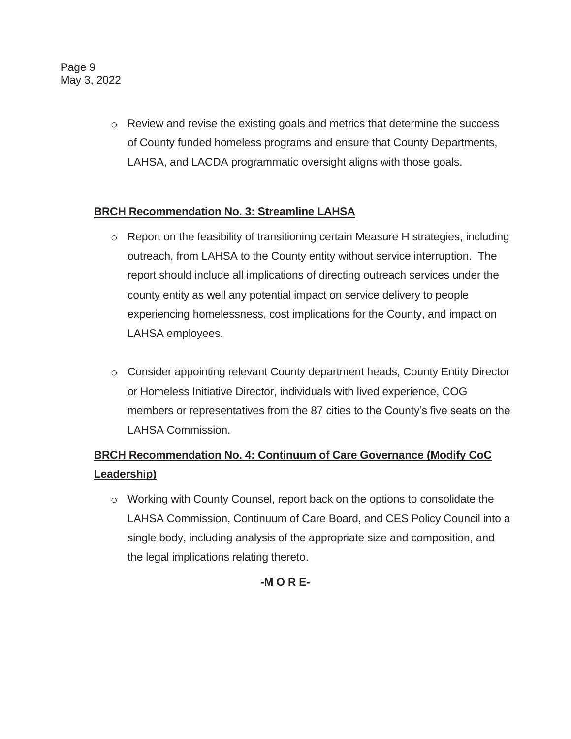Page 9 May 3, 2022

> o Review and revise the existing goals and metrics that determine the success of County funded homeless programs and ensure that County Departments, LAHSA, and LACDA programmatic oversight aligns with those goals.

## **BRCH Recommendation No. 3: Streamline LAHSA**

- $\circ$  Report on the feasibility of transitioning certain Measure H strategies, including outreach, from LAHSA to the County entity without service interruption. The report should include all implications of directing outreach services under the county entity as well any potential impact on service delivery to people experiencing homelessness, cost implications for the County, and impact on LAHSA employees.
- o Consider appointing relevant County department heads, County Entity Director or Homeless Initiative Director, individuals with lived experience, COG members or representatives from the 87 cities to the County's five seats on the LAHSA Commission.

# **BRCH Recommendation No. 4: Continuum of Care Governance (Modify CoC Leadership)**

o Working with County Counsel, report back on the options to consolidate the LAHSA Commission, Continuum of Care Board, and CES Policy Council into a single body, including analysis of the appropriate size and composition, and the legal implications relating thereto.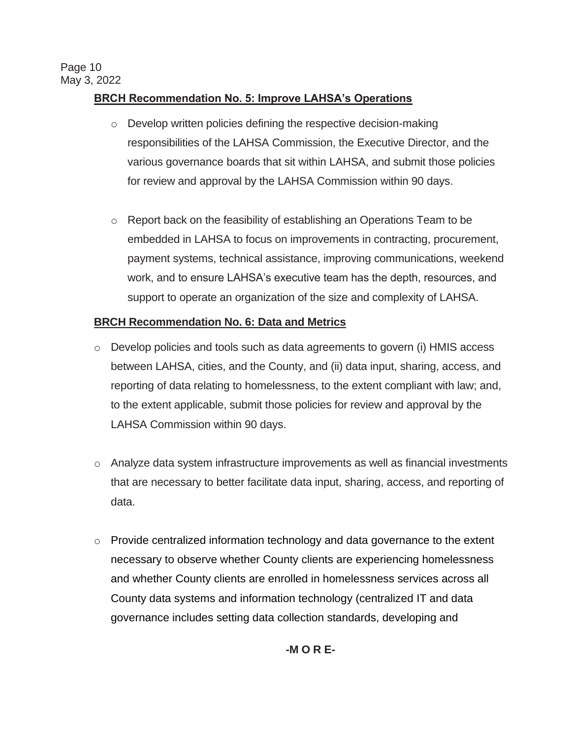## **BRCH Recommendation No. 5: Improve LAHSA's Operations**

- o Develop written policies defining the respective decision-making responsibilities of the LAHSA Commission, the Executive Director, and the various governance boards that sit within LAHSA, and submit those policies for review and approval by the LAHSA Commission within 90 days.
- o Report back on the feasibility of establishing an Operations Team to be embedded in LAHSA to focus on improvements in contracting, procurement, payment systems, technical assistance, improving communications, weekend work, and to ensure LAHSA's executive team has the depth, resources, and support to operate an organization of the size and complexity of LAHSA.

### **BRCH Recommendation No. 6: Data and Metrics**

- o Develop policies and tools such as data agreements to govern (i) HMIS access between LAHSA, cities, and the County, and (ii) data input, sharing, access, and reporting of data relating to homelessness, to the extent compliant with law; and, to the extent applicable, submit those policies for review and approval by the LAHSA Commission within 90 days.
- $\circ$  Analyze data system infrastructure improvements as well as financial investments that are necessary to better facilitate data input, sharing, access, and reporting of data.
- o Provide centralized information technology and data governance to the extent necessary to observe whether County clients are experiencing homelessness and whether County clients are enrolled in homelessness services across all County data systems and information technology (centralized IT and data governance includes setting data collection standards, developing and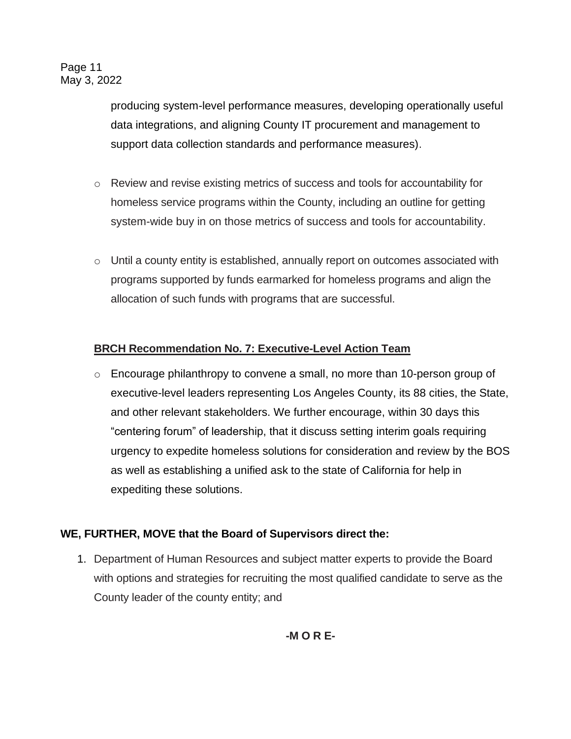producing system-level performance measures, developing operationally useful data integrations, and aligning County IT procurement and management to support data collection standards and performance measures).

- o Review and revise existing metrics of success and tools for accountability for homeless service programs within the County, including an outline for getting system-wide buy in on those metrics of success and tools for accountability.
- $\circ$  Until a county entity is established, annually report on outcomes associated with programs supported by funds earmarked for homeless programs and align the allocation of such funds with programs that are successful.

### **BRCH Recommendation No. 7: Executive-Level Action Team**

o Encourage philanthropy to convene a small, no more than 10-person group of executive-level leaders representing Los Angeles County, its 88 cities, the State, and other relevant stakeholders. We further encourage, within 30 days this "centering forum" of leadership, that it discuss setting interim goals requiring urgency to expedite homeless solutions for consideration and review by the BOS as well as establishing a unified ask to the state of California for help in expediting these solutions.

## **WE, FURTHER, MOVE that the Board of Supervisors direct the:**

1. Department of Human Resources and subject matter experts to provide the Board with options and strategies for recruiting the most qualified candidate to serve as the County leader of the county entity; and